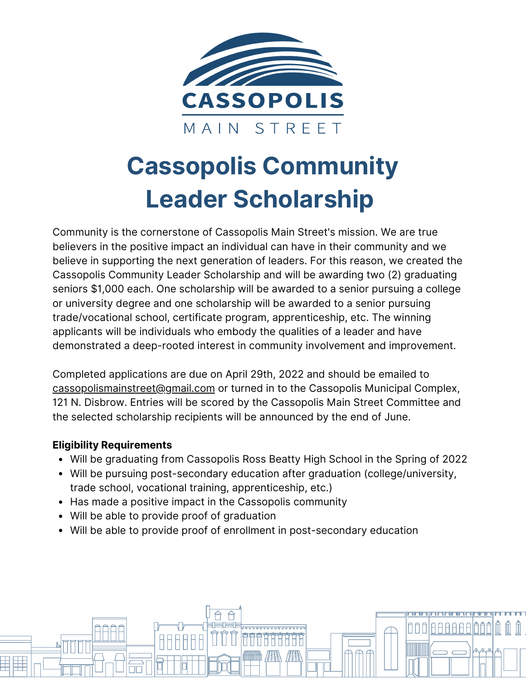

## **Cassopolis Community Leader Scholarship**

Community is the cornerstone of Cassopolis Main Street's mission. We are true believers in the positive impact an individual can have in their community and we believe in supporting the next generation of leaders. For this reason, we created the Cassopolis Community Leader Scholarship and will be awarding two (2) graduating seniors \$1,000 each. One scholarship will be awarded to a senior pursuing a college or university degree and one scholarship will be awarded to a senior pursuing trade/vocational school, certificate program, apprenticeship, etc. The winning applicants will be individuals who embody the qualities of a leader and have demonstrated a deep-rooted interest in community involvement and improvement.

Completed applications are due on April 29th, 2022 and should be emailed to cassopolismainstreet@gmail.com or turned in to the Cassopolis Municipal Complex, 121 N. Disbrow. Entries will be scored by the Cassopolis Main Street Committee and the selected scholarship recipients will be announced by the end of June.

## **Eligibility Requirements**

AAAf

Will be graduating from Cassopolis Ross Beatty High School in the Spring of 2022

00

- Will be pursuing post-secondary education after graduation (college/university, trade school, vocational training, apprenticeship, etc.)
- Has made a positive impact in the Cassopolis community
- Will be able to provide proof of graduation
- Will be able to provide proof of enrollment in post-secondary education

ww ww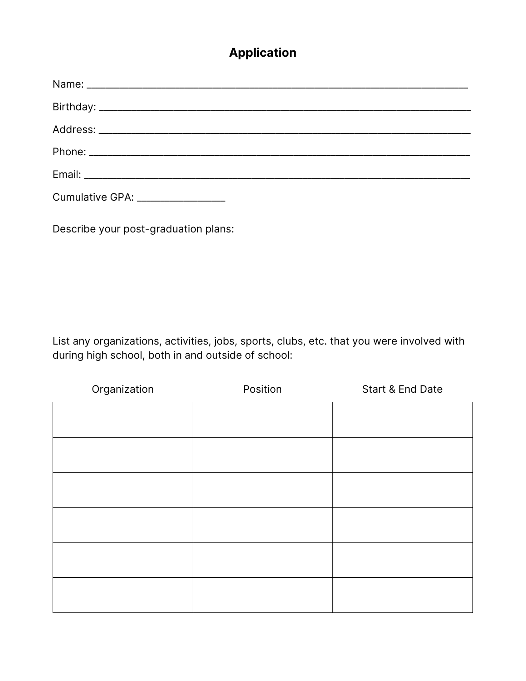## **Application**

| Cumulative GPA: ________________ |
|----------------------------------|

Describe your post-graduation plans:

List any organizations, activities, jobs, sports, clubs, etc. that you were involved with during high school, both in and outside of school:

| Organization | Position | Start & End Date |
|--------------|----------|------------------|
|              |          |                  |
|              |          |                  |
|              |          |                  |
|              |          |                  |
|              |          |                  |
|              |          |                  |